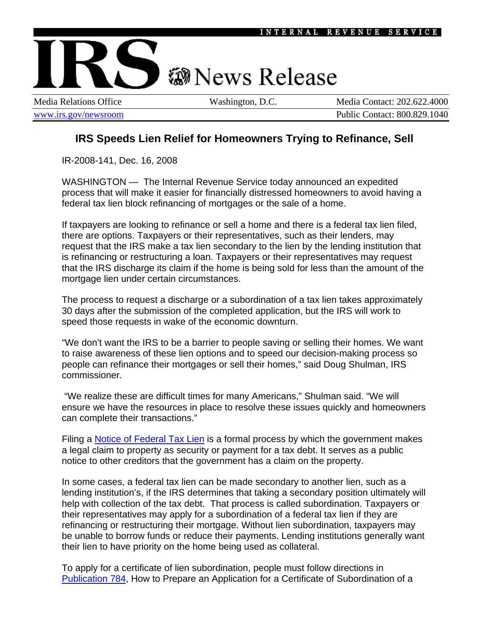

Media Relations Office Washington, D.C. Media Contact: 202.622.4000 [www.irs.gov/newsroom](http://www.irs.gov/newsroom/index.html) Public Contact: 800.829.1040

## **IRS Speeds Lien Relief for Homeowners Trying to Refinance, Sell**

IR-2008-141, Dec. 16, 2008

WASHINGTON — The Internal Revenue Service today announced an expedited process that will make it easier for financially distressed homeowners to avoid having a federal tax lien block refinancing of mortgages or the sale of a home.

If taxpayers are looking to refinance or sell a home and there is a federal tax lien filed, there are options. Taxpayers or their representatives, such as their lenders, may request that the IRS make a tax lien secondary to the lien by the lending institution that is refinancing or restructuring a loan. Taxpayers or their representatives may request that the IRS discharge its claim if the home is being sold for less than the amount of the mortgage lien under certain circumstances.

The process to request a discharge or a subordination of a tax lien takes approximately 30 days after the submission of the completed application, but the IRS will work to speed those requests in wake of the economic downturn.

"We don't want the IRS to be a barrier to people saving or selling their homes. We want to raise awareness of these lien options and to speed our decision-making process so people can refinance their mortgages or sell their homes," said Doug Shulman, IRS commissioner.

 "We realize these are difficult times for many Americans," Shulman said. "We will ensure we have the resources in place to resolve these issues quickly and homeowners can complete their transactions."

Filing a [Notice of Federal Tax Lien](http://www.irs.gov/businesses/small/article/0,,id=108339,00.html#Notice) is a formal process by which the government makes a legal claim to property as security or payment for a tax debt. It serves as a public notice to other creditors that the government has a claim on the property.

In some cases, a federal tax lien can be made secondary to another lien, such as a lending institution's, if the IRS determines that taking a secondary position ultimately will help with collection of the tax debt. That process is called subordination. Taxpayers or their representatives may apply for a subordination of a federal tax lien if they are refinancing or restructuring their mortgage. Without lien subordination, taxpayers may be unable to borrow funds or reduce their payments. Lending institutions generally want their lien to have priority on the home being used as collateral.

To apply for a certificate of lien subordination, people must follow directions in [Publication 784](http://www.irs.gov/pub/irs-pdf/p784.pdf), How to Prepare an Application for a Certificate of Subordination of a